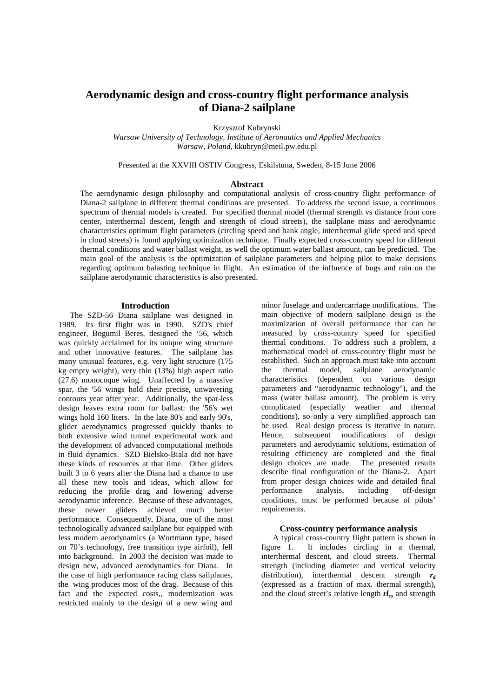# **Aerodynamic design and cross-country flight performance analysis of Diana-2 sailplane**

Krzysztof Kubrynski

*Warsaw University of Technology, Institute of Aeronautics and Applied Mechanics Warsaw, Poland,* kkubryn@meil.pw.edu.pl

Presented at the XXVIII OSTIV Congress, Eskilstuna, Sweden, 8-15 June 2006

#### **Abstract**

The aerodynamic design philosophy and computational analysis of cross-country flight performance of Diana-2 sailplane in different thermal conditions are presented. To address the second issue, a continuous spectrum of thermal models is created. For specified thermal model (thermal strength vs distance from core center, interthermal descent, length and strength of cloud streets), the sailplane mass and aerodynamic characteristics optimum flight parameters (circling speed and bank angle, interthermal glide speed and speed in cloud streets) is found applying optimization technique. Finally expected cross-country speed for different thermal conditions and water ballast weight, as well the optimum water ballast amount, can be predicted. The main goal of the analysis is the optimization of sailplane parameters and helping pilot to make decisions regarding optimum balasting technique in flight. An estimation of the influence of bugs and rain on the sailplane aerodynamic characteristics is also presented.

# **Introduction**

The SZD-56 Diana sailplane was designed in 1989. Its first flight was in 1990. SZD's chief engineer, Bogumil Beres, designed the '56, which was quickly acclaimed for its unique wing structure and other innovative features. The sailplane has many unusual features, e.g. very light structure (175 kg empty weight), very thin (13%) high aspect ratio (27.6) monocoque wing. Unaffected by a massive spar, the '56 wings hold their precise, unwavering contours year after year. Additionally, the spar-less design leaves extra room for ballast: the '56's wet wings hold 160 liters. In the late 80's and early 90's, glider aerodynamics progressed quickly thanks to both extensive wind tunnel experimental work and the development of advanced computational methods in fluid dynamics. SZD Bielsko-Biala did not have these kinds of resources at that time. Other gliders built 3 to 6 years after the Diana had a chance to use all these new tools and ideas, which allow for reducing the profile drag and lowering adverse aerodynamic inference. Because of these advantages, these newer gliders achieved much better performance. Consequently, Diana, one of the most technologically advanced sailplane but equipped with less modern aerodynamics (a Wortmann type, based on 70's technology, free transition type airfoil), fell into background. In 2003 the decision was made to design new, advanced aerodynamics for Diana. In the case of high performance racing class sailplanes, the wing produces most of the drag. Because of this fact and the expected costs., modernization was restricted mainly to the design of a new wing and

minor fuselage and undercarriage modifications. The main objective of modern sailplane design is the maximization of overall performance that can be measured by cross-country speed for specified thermal conditions. To address such a problem, a mathematical model of cross-country flight must be established. Such an approach must take into account the thermal model, sailplane aerodynamic characteristics (dependent on various design parameters and "aerodynamic technology"), and the mass (water ballast amount). The problem is very complicated (especially weather and thermal conditions), so only a very simplified approach can be used. Real design process is iterative in nature. Hence, subsequent modifications of design parameters and aerodynamic solutions, estimation of resulting efficiency are completed and the final design choices are made. The presented results describe final configuration of the Diana-2. Apart from proper design choices wide and detailed final performance analysis, including off-design conditions, must be performed because of pilots' requirements.

# **Cross-country performance analysis**

A typical cross-country flight pattern is shown in figure 1. It includes circling in a thermal, interthermal descent, and cloud streets. Thermal strength (including diameter and vertical velocity distribution), interthermal descent strength *r<sup>d</sup>* (expressed as a fraction of max. thermal strength), and the cloud street's relative length *rlcs* and strength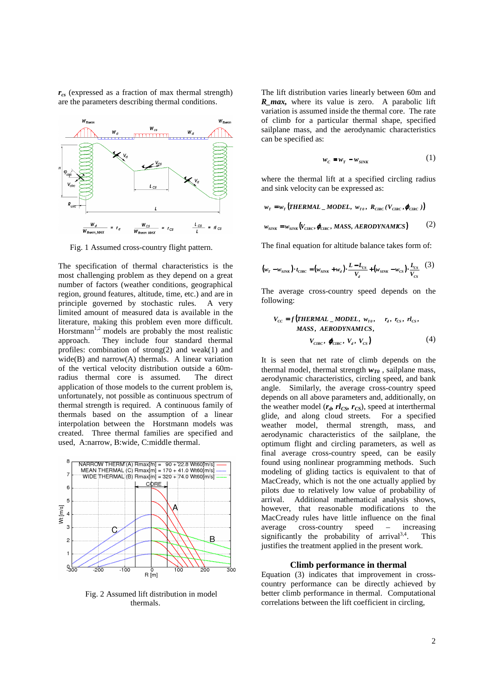*rcs* (expressed as a fraction of max thermal strength) are the parameters describing thermal conditions.



Fig. 1 Assumed cross-country flight pattern.

The specification of thermal characteristics is the most challenging problem as they depend on a great number of factors (weather conditions, geographical region, ground features, altitude, time, etc.) and are in principle governed by stochastic rules. A very limited amount of measured data is available in the literature, making this problem even more difficult. Horstmann<sup>1,2</sup> models are probably the most realistic approach. They include four standard thermal profiles: combination of strong(2) and weak(1) and wide(B) and narrow $(A)$  thermals. A linear variation of the vertical velocity distribution outside a 60mradius thermal core is assumed. The direct application of those models to the current problem is, unfortunately, not possible as continuous spectrum of thermal strength is required. A continuous family of thermals based on the assumption of a linear interpolation between the Horstmann models was created. Three thermal families are specified and used, A:narrow, B:wide, C:middle thermal.



Fig. 2 Assumed lift distribution in model thermals.

The lift distribution varies linearly between 60m and *R\_max,* where its value is zero. A parabolic lift variation is assumed inside the thermal core. The rate of climb for a particular thermal shape, specified sailplane mass, and the aerodynamic characteristics can be specified as:

$$
w_c = w_T - w_{\text{SINK}} \tag{1}
$$

where the thermal lift at a specified circling radius and sink velocity can be expressed as:

$$
wT = wT (THERMAL - MODEL, wT0, RCIRC (VCIRC, \phiCIRC))
$$

$$
w_{\text{SINK}} = w_{\text{SINK}}(V_{\text{CIRC}}, \phi_{\text{CIRC}}, \text{MASS}, \text{AERODYNAMICS}) \tag{2}
$$

The final equation for altitude balance takes form of:

$$
(w_r - w_{\text{SINK}}) \cdot t_{\text{CIRC}} = (w_{\text{SINK}} + w_a) \cdot \frac{L - L_{\text{CS}}}{V_d} + (w_{\text{SINK}} - w_{\text{CS}}) \cdot \frac{L_{\text{CS}}}{V_{\text{CS}}} \quad (3)
$$

The average cross-country speed depends on the following:

$$
V_{cc} = f(\text{THERMAL}\_\text{ADDEL}, \, w_{\text{to}}, \, r_a, \, r_{\text{cs}}, \, r l_{\text{cs}}, \, \text{MASS}, \, \text{AERODYNAMICS}, \, V_{\text{CIRC}}, \, V_a, \, V_{\text{cs}}) \tag{4}
$$

It is seen that net rate of climb depends on the thermal model, thermal strength  $w_{T0}$ , sailplane mass, aerodynamic characteristics, circling speed, and bank angle. Similarly, the average cross-country speed depends on all above parameters and, additionally, on the weather model  $(r_d, rl_{CS},r_{CS})$ , speed at interthermal glide, and along cloud streets. For a specified weather model, thermal strength, mass, and aerodynamic characteristics of the sailplane, the optimum flight and circling parameters, as well as final average cross-country speed, can be easily found using nonlinear programming methods. Such modeling of gliding tactics is equivalent to that of MacCready, which is not the one actually applied by pilots due to relatively low value of probability of arrival. Additional mathematical analysis shows, however, that reasonable modifications to the MacCready rules have little influence on the final average cross-country speed – increasing significantly the probability of arrival $3,4$ . This justifies the treatment applied in the present work.

#### **Climb performance in thermal**

Equation (3) indicates that improvement in crosscountry performance can be directly achieved by better climb performance in thermal. Computational correlations between the lift coefficient in circling,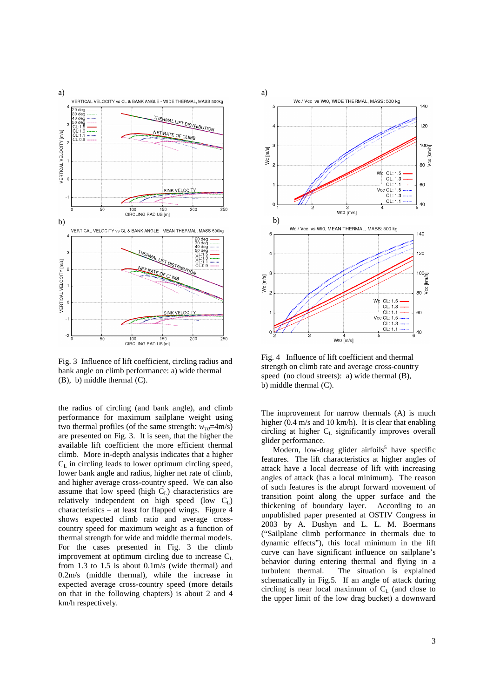

Fig. 3 Influence of lift coefficient, circling radius and bank angle on climb performance: a) wide thermal (B), b) middle thermal (C).

the radius of circling (and bank angle), and climb performance for maximum sailplane weight using two thermal profiles (of the same strength:  $w_{T0}$ =4m/s) are presented on Fig. 3. It is seen, that the higher the available lift coefficient the more efficient thermal climb. More in-depth analysis indicates that a higher  $C_L$  in circling leads to lower optimum circling speed, lower bank angle and radius, higher net rate of climb, and higher average cross-country speed. We can also assume that low speed (high  $C_L$ ) characteristics are relatively independent on high speed (low  $C_L$ ) characteristics – at least for flapped wings. Figure 4 shows expected climb ratio and average crosscountry speed for maximum weight as a function of thermal strength for wide and middle thermal models. For the cases presented in Fig. 3 the climb improvement at optimum circling due to increase  $C_L$ from 1.3 to 1.5 is about 0.1m/s (wide thermal) and 0.2m/s (middle thermal), while the increase in expected average cross-country speed (more details on that in the following chapters) is about 2 and 4 km/h respectively.



Fig. 4 Influence of lift coefficient and thermal strength on climb rate and average cross-country speed (no cloud streets): a) wide thermal (B), b) middle thermal (C).

The improvement for narrow thermals (A) is much higher (0.4 m/s and 10 km/h). It is clear that enabling circling at higher C<sub>L</sub> significantly improves overall glider performance.

Modern, low-drag glider airfoils<sup>5</sup> have specific features. The lift characteristics at higher angles of attack have a local decrease of lift with increasing angles of attack (has a local minimum). The reason of such features is the abrupt forward movement of transition point along the upper surface and the thickening of boundary layer. According to an unpublished paper presented at OSTIV Congress in 2003 by A. Dushyn and L. L. M. Boermans ("Sailplane climb performance in thermals due to dynamic effects"), this local minimum in the lift curve can have significant influence on sailplane's behavior during entering thermal and flying in a turbulent thermal. The situation is explained schematically in Fig.5. If an angle of attack during circling is near local maximum of  $C_L$  (and close to the upper limit of the low drag bucket) a downward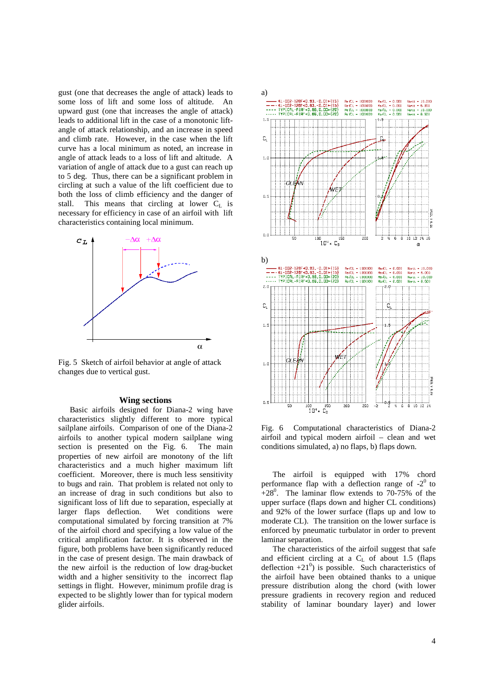gust (one that decreases the angle of attack) leads to some loss of lift and some loss of altitude. An upward gust (one that increases the angle of attack) leads to additional lift in the case of a monotonic liftangle of attack relationship, and an increase in speed and climb rate. However, in the case when the lift curve has a local minimum as noted, an increase in angle of attack leads to a loss of lift and altitude. A variation of angle of attack due to a gust can reach up to 5 deg. Thus, there can be a significant problem in circling at such a value of the lift coefficient due to both the loss of climb efficiency and the danger of stall. This means that circling at lower  $C_L$  is necessary for efficiency in case of an airfoil with lift characteristics containing local minimum.



Fig. 5 Sketch of airfoil behavior at angle of attack changes due to vertical gust.

### **Wing sections**

Basic airfoils designed for Diana-2 wing have characteristics slightly different to more typical sailplane airfoils. Comparison of one of the Diana-2 airfoils to another typical modern sailplane wing section is presented on the Fig. 6. The main properties of new airfoil are monotony of the lift characteristics and a much higher maximum lift coefficient. Moreover, there is much less sensitivity to bugs and rain. That problem is related not only to an increase of drag in such conditions but also to significant loss of lift due to separation, especially at larger flaps deflection. Wet conditions were computational simulated by forcing transition at 7% of the airfoil chord and specifying a low value of the critical amplification factor. It is observed in the figure, both problems have been significantly reduced in the case of present design. The main drawback of the new airfoil is the reduction of low drag-bucket width and a higher sensitivity to the incorrect flap settings in flight. However, minimum profile drag is expected to be slightly lower than for typical modern glider airfoils.



Fig. 6 Computational characteristics of Diana-2 airfoil and typical modern airfoil – clean and wet conditions simulated, a) no flaps, b) flaps down.

The airfoil is equipped with 17% chord performance flap with a deflection range of  $-2^0$  to  $+28^0$ . The laminar flow extends to 70-75% of the upper surface (flaps down and higher CL conditions) and 92% of the lower surface (flaps up and low to moderate CL). The transition on the lower surface is enforced by pneumatic turbulator in order to prevent laminar separation.

The characteristics of the airfoil suggest that safe and efficient circling at a  $C<sub>L</sub>$  of about 1.5 (flaps deflection  $+21^0$ ) is possible. Such characteristics of the airfoil have been obtained thanks to a unique pressure distribution along the chord (with lower pressure gradients in recovery region and reduced stability of laminar boundary layer) and lower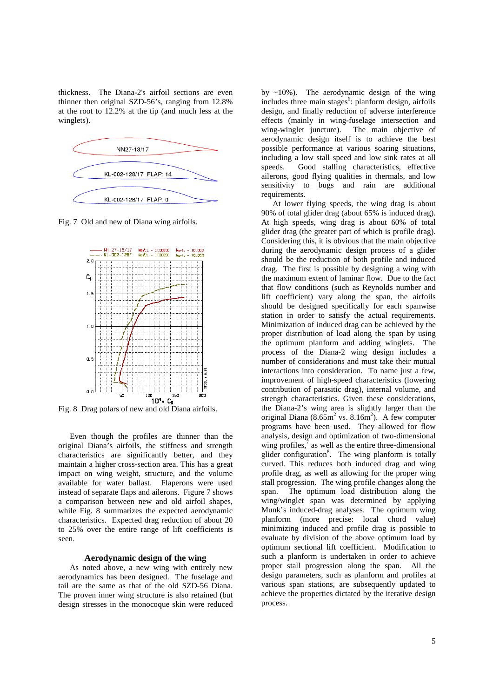thickness. The Diana-2's airfoil sections are even thinner then original SZD-56's, ranging from 12.8% at the root to 12.2% at the tip (and much less at the winglets).



Fig. 7 Old and new of Diana wing airfoils.



Fig. 8 Drag polars of new and old Diana airfoils.

Even though the profiles are thinner than the original Diana's airfoils, the stiffness and strength characteristics are significantly better, and they maintain a higher cross-section area. This has a great impact on wing weight, structure, and the volume available for water ballast. Flaperons were used instead of separate flaps and ailerons. Figure 7 shows a comparison between new and old airfoil shapes, while Fig. 8 summarizes the expected aerodynamic characteristics. Expected drag reduction of about 20 to 25% over the entire range of lift coefficients is seen.

# **Aerodynamic design of the wing**

As noted above, a new wing with entirely new aerodynamics has been designed. The fuselage and tail are the same as that of the old SZD-56 Diana. The proven inner wing structure is also retained (but design stresses in the monocoque skin were reduced

by ~10%). The aerodynamic design of the wing includes three main stages<sup>6</sup>: planform design, airfoils design, and finally reduction of adverse interference effects (mainly in wing-fuselage intersection and wing-winglet juncture). The main objective of aerodynamic design itself is to achieve the best possible performance at various soaring situations, including a low stall speed and low sink rates at all speeds. Good stalling characteristics, effective ailerons, good flying qualities in thermals, and low sensitivity to bugs and rain are additional requirements.

At lower flying speeds, the wing drag is about 90% of total glider drag (about 65% is induced drag). At high speeds, wing drag is about 60% of total glider drag (the greater part of which is profile drag). Considering this, it is obvious that the main objective during the aerodynamic design process of a glider should be the reduction of both profile and induced drag. The first is possible by designing a wing with the maximum extent of laminar flow. Due to the fact that flow conditions (such as Reynolds number and lift coefficient) vary along the span, the airfoils should be designed specifically for each spanwise station in order to satisfy the actual requirements. Minimization of induced drag can be achieved by the proper distribution of load along the span by using the optimum planform and adding winglets. The process of the Diana-2 wing design includes a number of considerations and must take their mutual interactions into consideration. To name just a few, improvement of high-speed characteristics (lowering contribution of parasitic drag), internal volume, and strength characteristics. Given these considerations, the Diana-2's wing area is slightly larger than the original Diana  $(8.65 \text{m}^2 \text{ vs. } 8.16 \text{m}^2)$ . A few computer programs have been used. They allowed for flow analysis, design and optimization of two-dimensional wing profiles, $\bar{7}$  as well as the entire three-dimensional glider configuration<sup>8</sup>. The wing planform is totally curved. This reduces both induced drag and wing profile drag, as well as allowing for the proper wing stall progression. The wing profile changes along the span. The optimum load distribution along the wing/winglet span was determined by applying Munk's induced-drag analyses. The optimum wing planform (more precise: local chord value) minimizing induced and profile drag is possible to evaluate by division of the above optimum load by optimum sectional lift coefficient. Modification to such a planform is undertaken in order to achieve proper stall progression along the span. All the design parameters, such as planform and profiles at various span stations, are subsequently updated to achieve the properties dictated by the iterative design process.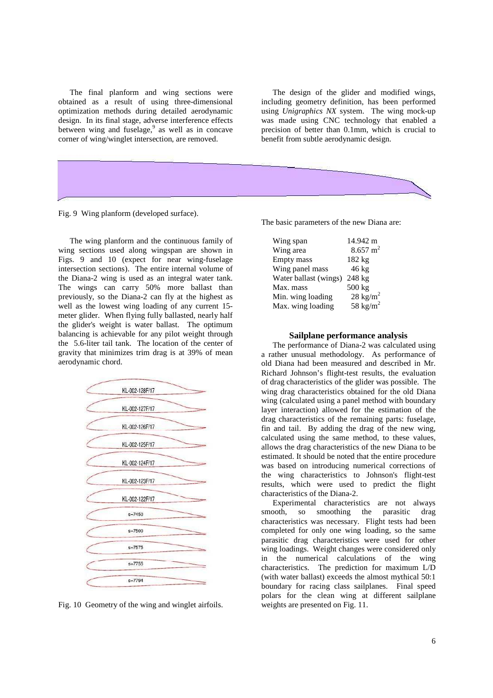The final planform and wing sections were obtained as a result of using three-dimensional optimization methods during detailed aerodynamic design. In its final stage, adverse interference effects between wing and fuselage,<sup>9</sup> as well as in concave corner of wing/winglet intersection, are removed.

The design of the glider and modified wings, including geometry definition, has been performed using *Unigraphics NX* system. The wing mock-up was made using CNC technology that enabled a precision of better than 0.1mm, which is crucial to benefit from subtle aerodynamic design.



Fig. 9 Wing planform (developed surface).

The wing planform and the continuous family of wing sections used along wingspan are shown in Figs. 9 and 10 (expect for near wing-fuselage intersection sections). The entire internal volume of the Diana-2 wing is used as an integral water tank. The wings can carry 50% more ballast than previously, so the Diana-2 can fly at the highest as well as the lowest wing loading of any current 15 meter glider. When flying fully ballasted, nearly half the glider's weight is water ballast. The optimum balancing is achievable for any pilot weight through the 5.6-liter tail tank. The location of the center of gravity that minimizes trim drag is at 39% of mean aerodynamic chord.



Fig. 10 Geometry of the wing and winglet airfoils.

The basic parameters of the new Diana are:

| Wing span             | 14.942 m            |
|-----------------------|---------------------|
| Wing area             | $8.657 \text{ m}^2$ |
| Empty mass            | 182 kg              |
| Wing panel mass       | $46 \text{ kg}$     |
| Water ballast (wings) | 248 kg              |
| Max. mass             | 500 kg              |
| Min. wing loading     | $28 \text{ kg/m}^2$ |
| Max. wing loading     | 58 $\rm kg/m^2$     |

# **Sailplane performance analysis**

The performance of Diana-2 was calculated using a rather unusual methodology. As performance of old Diana had been measured and described in Mr. Richard Johnson's flight-test results, the evaluation of drag characteristics of the glider was possible. The wing drag characteristics obtained for the old Diana wing (calculated using a panel method with boundary layer interaction) allowed for the estimation of the drag characteristics of the remaining parts: fuselage, fin and tail. By adding the drag of the new wing, calculated using the same method, to these values, allows the drag characteristics of the new Diana to be estimated. It should be noted that the entire procedure was based on introducing numerical corrections of the wing characteristics to Johnson's flight-test results, which were used to predict the flight characteristics of the Diana-2.

Experimental characteristics are not always smooth, so smoothing the parasitic drag characteristics was necessary. Flight tests had been completed for only one wing loading, so the same parasitic drag characteristics were used for other wing loadings. Weight changes were considered only in the numerical calculations of the wing characteristics. The prediction for maximum L/D (with water ballast) exceeds the almost mythical 50:1 boundary for racing class sailplanes. Final speed polars for the clean wing at different sailplane weights are presented on Fig. 11.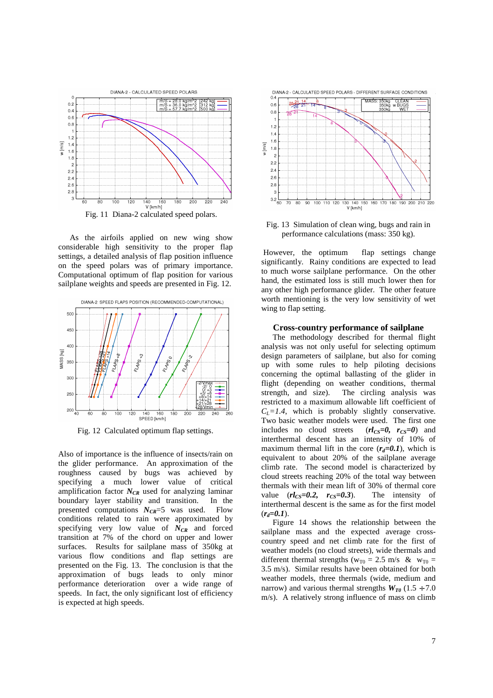

As the airfoils applied on new wing show considerable high sensitivity to the proper flap settings, a detailed analysis of flap position influence on the speed polars was of primary importance. Computational optimum of flap position for various sailplane weights and speeds are presented in Fig. 12.



Fig. 12 Calculated optimum flap settings.

Also of importance is the influence of insects/rain on the glider performance. An approximation of the roughness caused by bugs was achieved by specifying a much lower value of critical amplification factor *NCR* used for analyzing laminar boundary layer stability and transition. In the presented computations  $N_{CR}$ =5 was used. Flow conditions related to rain were approximated by specifying very low value of *NCR* and forced transition at 7% of the chord on upper and lower surfaces. Results for sailplane mass of 350kg at various flow conditions and flap settings are presented on the Fig. 13. The conclusion is that the approximation of bugs leads to only minor performance deterioration over a wide range of speeds. In fact, the only significant lost of efficiency is expected at high speeds.





Fig. 13 Simulation of clean wing, bugs and rain in performance calculations (mass: 350 kg).

 However, the optimum flap settings change significantly. Rainy conditions are expected to lead to much worse sailplane performance. On the other hand, the estimated loss is still much lower then for any other high performance glider. The other feature worth mentioning is the very low sensitivity of wet wing to flap setting.

#### **Cross-country performance of sailplane**

The methodology described for thermal flight analysis was not only useful for selecting optimum design parameters of sailplane, but also for coming up with some rules to help piloting decisions concerning the optimal ballasting of the glider in flight (depending on weather conditions, thermal strength, and size). The circling analysis was restricted to a maximum allowable lift coefficient of  $C_L = 1.4$ , which is probably slightly conservative. Two basic weather models were used. The first one includes no cloud streets  $(rl_{CS}=0, r_{CS}=0)$  and interthermal descent has an intensity of 10% of maximum thermal lift in the core  $(r_d=0.1)$ , which is equivalent to about 20% of the sailplane average climb rate. The second model is characterized by cloud streets reaching 20% of the total way between thermals with their mean lift of 30% of thermal core value  $(rl_{CS}=0.2, r_{CS}=0.3)$ . The intensity of interthermal descent is the same as for the first model  $(r_d=0.1)$ .

Figure 14 shows the relationship between the sailplane mass and the expected average crosscountry speed and net climb rate for the first of weather models (no cloud streets), wide thermals and different thermal strengths ( $w_{T0} = 2.5$  m/s &  $w_{T0} =$ 3.5 m/s). Similar results have been obtained for both weather models, three thermals (wide, medium and narrow) and various thermal strengths  $W_{T0}$  (1.5 ÷ 7.0) m/s). A relatively strong influence of mass on climb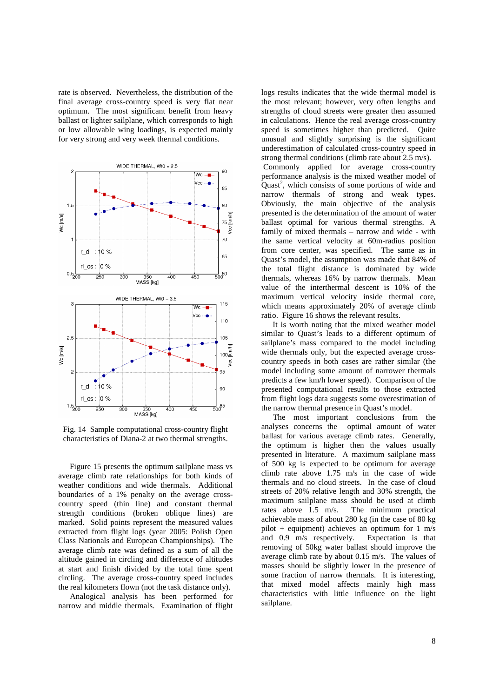rate is observed. Nevertheless, the distribution of the final average cross-country speed is very flat near optimum. The most significant benefit from heavy ballast or lighter sailplane, which corresponds to high or low allowable wing loadings, is expected mainly for very strong and very week thermal conditions.



Fig. 14 Sample computational cross-country flight characteristics of Diana-2 at two thermal strengths.

Figure 15 presents the optimum sailplane mass vs average climb rate relationships for both kinds of weather conditions and wide thermals. Additional boundaries of a 1% penalty on the average crosscountry speed (thin line) and constant thermal strength conditions (broken oblique lines) are marked. Solid points represent the measured values extracted from flight logs (year 2005: Polish Open Class Nationals and European Championships). The average climb rate was defined as a sum of all the altitude gained in circling and difference of altitudes at start and finish divided by the total time spent circling. The average cross-country speed includes the real kilometers flown (not the task distance only).

Analogical analysis has been performed for narrow and middle thermals. Examination of flight logs results indicates that the wide thermal model is the most relevant; however, very often lengths and strengths of cloud streets were greater then assumed in calculations. Hence the real average cross-country speed is sometimes higher than predicted. Quite unusual and slightly surprising is the significant underestimation of calculated cross-country speed in strong thermal conditions (climb rate about 2.5 m/s).

 Commonly applied for average cross-country performance analysis is the mixed weather model of Quast<sup>2</sup>, which consists of some portions of wide and narrow thermals of strong and weak types. Obviously, the main objective of the analysis presented is the determination of the amount of water ballast optimal for various thermal strengths. A family of mixed thermals – narrow and wide - with the same vertical velocity at 60m-radius position from core center, was specified. The same as in Quast's model, the assumption was made that 84% of the total flight distance is dominated by wide thermals, whereas 16% by narrow thermals. Mean value of the interthermal descent is 10% of the maximum vertical velocity inside thermal core, which means approximately 20% of average climb ratio. Figure 16 shows the relevant results.

It is worth noting that the mixed weather model similar to Quast's leads to a different optimum of sailplane's mass compared to the model including wide thermals only, but the expected average crosscountry speeds in both cases are rather similar (the model including some amount of narrower thermals predicts a few km/h lower speed). Comparison of the presented computational results to those extracted from flight logs data suggests some overestimation of the narrow thermal presence in Quast's model.

The most important conclusions from the analyses concerns the optimal amount of water ballast for various average climb rates. Generally, the optimum is higher then the values usually presented in literature. A maximum sailplane mass of 500 kg is expected to be optimum for average climb rate above 1.75 m/s in the case of wide thermals and no cloud streets. In the case of cloud streets of 20% relative length and 30% strength, the maximum sailplane mass should be used at climb rates above 1.5 m/s. The minimum practical achievable mass of about 280 kg (in the case of 80 kg pilot + equipment) achieves an optimum for 1 m/s and 0.9 m/s respectively. Expectation is that removing of 50kg water ballast should improve the average climb rate by about 0.15 m/s. The values of masses should be slightly lower in the presence of some fraction of narrow thermals. It is interesting, that mixed model affects mainly high mass characteristics with little influence on the light sailplane.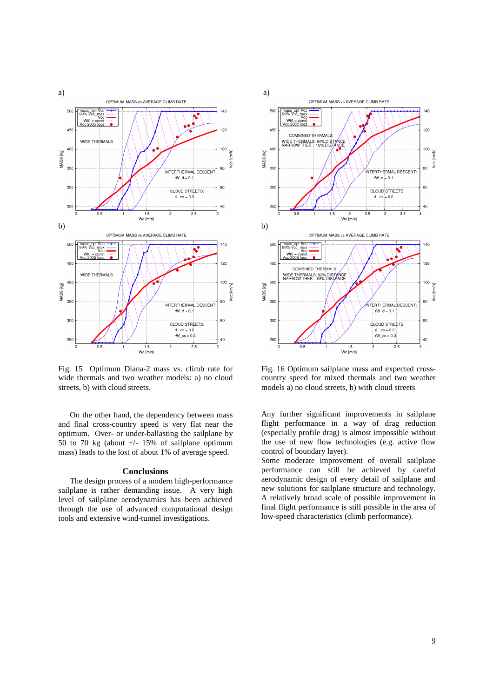

Fig. 15 Optimum Diana-2 mass vs. climb rate for wide thermals and two weather models: a) no cloud streets, b) with cloud streets.

On the other hand, the dependency between mass and final cross-country speed is very flat near the optimum. Over- or under-ballasting the sailplane by 50 to 70 kg (about  $+/-$  15% of sailplane optimum mass) leads to the lost of about 1% of average speed.

#### **Conclusions**

 The design process of a modern high-performance sailplane is rather demanding issue. A very high level of sailplane aerodynamics has been achieved through the use of advanced computational design tools and extensive wind-tunnel investigations.



Fig. 16 Optimum sailplane mass and expected crosscountry speed for mixed thermals and two weather models a) no cloud streets, b) with cloud streets

Any further significant improvements in sailplane flight performance in a way of drag reduction (especially profile drag) is almost impossible without the use of new flow technologies (e.g. active flow control of boundary layer).

Some moderate improvement of overall sailplane performance can still be achieved by careful aerodynamic design of every detail of sailplane and new solutions for sailplane structure and technology. A relatively broad scale of possible improvement in final flight performance is still possible in the area of low-speed characteristics (climb performance).